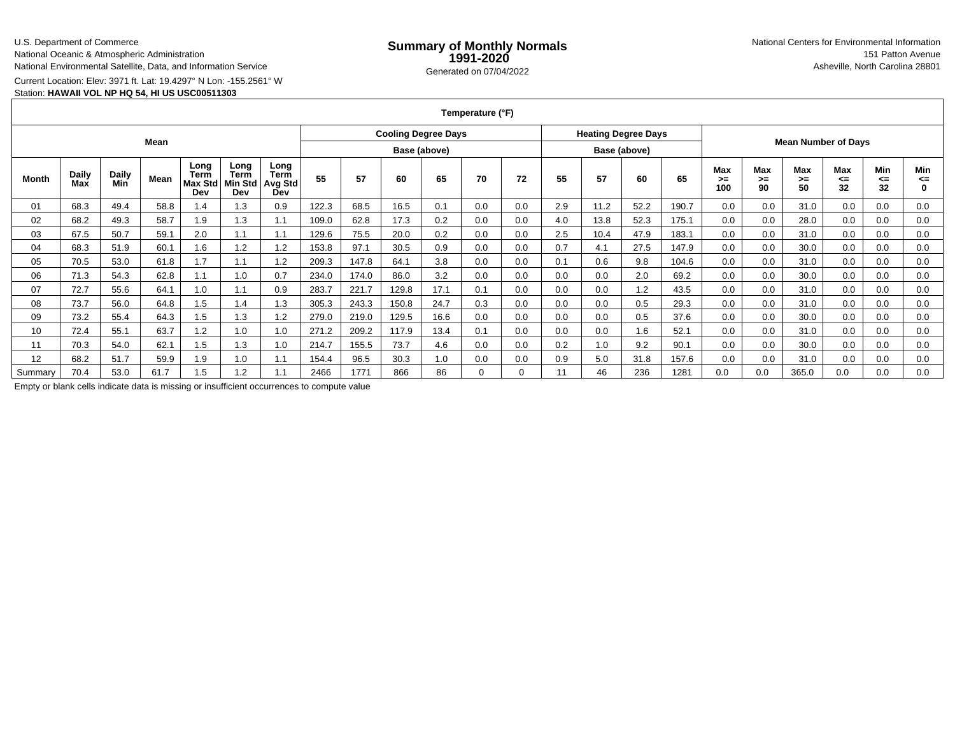## U.S. Department of Commerce

National Oceanic & Atmospheric Administration

National Environmental Satellite, Data, and Information Service

Current Location: Elev: 3971 ft. Lat: 19.4297° N Lon: -155.2561° W

## Station: **HAWAII VOL NP HQ 54, HI US USC00511303**

**Temperature (°F)**

| Mean    |              |              |      |                                       |                                |                                       |              | <b>Cooling Degree Days</b> |       |      |     |              |     | <b>Heating Degree Days</b> |      |                            |                  |                          |                 |                        |                 |                |
|---------|--------------|--------------|------|---------------------------------------|--------------------------------|---------------------------------------|--------------|----------------------------|-------|------|-----|--------------|-----|----------------------------|------|----------------------------|------------------|--------------------------|-----------------|------------------------|-----------------|----------------|
|         |              |              |      |                                       |                                |                                       | Base (above) |                            |       |      |     | Base (above) |     |                            |      | <b>Mean Number of Days</b> |                  |                          |                 |                        |                 |                |
| Month   | Daily<br>Max | Daily<br>Min | Mean | Long<br>Term<br><b>Max Std</b><br>Dev | Long<br>Term<br>Min Std<br>Dev | Long<br><b>Term</b><br>Avg Std<br>Dev | 55           | 57                         | 60    | 65   | 70  | 72           | 55  | 57                         | 60   | 65                         | Max<br>>≕<br>100 | <b>Max</b><br>$>=$<br>90 | Max<br>>=<br>50 | <b>Max</b><br><=<br>32 | Min<br><=<br>32 | Min<br><=<br>0 |
| 01      | 68.3         | 49.4         | 58.8 | 1.4                                   | 1.3                            | 0.9                                   | 122.3        | 68.5                       | 16.5  | 0.1  | 0.0 | 0.0          | 2.9 | 11.2                       | 52.2 | 190.7                      | 0.0              | 0.0                      | 31.0            | 0.0                    | 0.0             | 0.0            |
| 02      | 68.2         | 49.3         | 58.7 | 1.9                                   | 1.3                            |                                       | 109.0        | 62.8                       | 17.3  | 0.2  | 0.0 | 0.0          | 4.0 | 13.8                       | 52.3 | 175.1                      | 0.0              | 0.0                      | 28.0            | 0.0                    | 0.0             | 0.0            |
| 03      | 67.5         | 50.7         | 59.1 | 2.0                                   | 1.1                            | 1.1                                   | 129.6        | 75.5                       | 20.0  | 0.2  | 0.0 | 0.0          | 2.5 | 10.4                       | 47.9 | 183.1                      | 0.0              | 0.0                      | 31.0            | 0.0                    | 0.0             | 0.0            |
| 04      | 68.3         | 51.9         | 60.1 | 1.6                                   | 1.2                            | 1.2                                   | 153.8        | 97.1                       | 30.5  | 0.9  | 0.0 | 0.0          | 0.7 | 4.1                        | 27.5 | 147.9                      | 0.0              | 0.0                      | 30.0            | 0.0                    | 0.0             | 0.0            |
| 05      | 70.5         | 53.0         | 61.8 | 1.7                                   | 1.1                            | 1.2                                   | 209.3        | 147.8                      | 64.1  | 3.8  | 0.0 | 0.0          | 0.1 | 0.6                        | 9.8  | 104.6                      | 0.0              | 0.0                      | 31.0            | 0.0                    | 0.0             | 0.0            |
| 06      | 71.3         | 54.3         | 62.8 | 1.1                                   | 1.0                            | 0.7                                   | 234.0        | 174.0                      | 86.0  | 3.2  | 0.0 | 0.0          | 0.0 | 0.0                        | 2.0  | 69.2                       | 0.0              | 0.0                      | 30.0            | 0.0                    | 0.0             | 0.0            |
| 07      | 72.7         | 55.6         | 64.1 | 1.0                                   | 1.1                            | 0.9                                   | 283.7        | 221.7                      | 129.8 | 17.1 | 0.1 | 0.0          | 0.0 | 0.0                        | 1.2  | 43.5                       | 0.0              | 0.0                      | 31.0            | 0.0                    | 0.0             | 0.0            |
| 08      | 73.7         | 56.0         | 64.8 | 1.5                                   | 1.4                            | 1.3                                   | 305.3        | 243.3                      | 150.8 | 24.7 | 0.3 | 0.0          | 0.0 | 0.0                        | 0.5  | 29.3                       | 0.0              | 0.0                      | 31.0            | 0.0                    | 0.0             | 0.0            |
| 09      | 73.2         | 55.4         | 64.3 | 1.5                                   | 1.3                            | 1.2                                   | 279.0        | 219.0                      | 129.5 | 16.6 | 0.0 | 0.0          | 0.0 | 0.0                        | 0.5  | 37.6                       | 0.0              | 0.0                      | 30.0            | 0.0                    | 0.0             | 0.0            |
| 10      | 72.4         | 55.1         | 63.7 | 1.2                                   | 1.0                            | 1.0                                   | 271.2        | 209.2                      | 117.9 | 13.4 | 0.1 | 0.0          | 0.0 | 0.0                        | 1.6  | 52.1                       | 0.0              | 0.0                      | 31.0            | 0.0                    | 0.0             | 0.0            |
| 11      | 70.3         | 54.0         | 62.1 | 1.5                                   | 1.3                            | 1.0                                   | 214.7        | 155.5                      | 73.7  | 4.6  | 0.0 | 0.0          | 0.2 | 1.0                        | 9.2  | 90.1                       | 0.0              | 0.0                      | 30.0            | 0.0                    | 0.0             | 0.0            |
| 12      | 68.2         | 51.7         | 59.9 | 1.9                                   | 1.0                            | 1.1                                   | 154.4        | 96.5                       | 30.3  | 1.0  | 0.0 | 0.0          | 0.9 | 5.0                        | 31.8 | 157.6                      | 0.0              | 0.0                      | 31.0            | 0.0                    | 0.0             | 0.0            |
| Summary | 70.4         | 53.0         | 61.7 | 1.5                                   | 1.2                            |                                       | 2466         | 1771                       | 866   | 86   |     |              | 11  | 46                         | 236  | 1281                       | 0.0              | 0.0                      | 365.0           | 0.0                    | 0.0             | 0.0            |

Empty or blank cells indicate data is missing or insufficient occurrences to compute value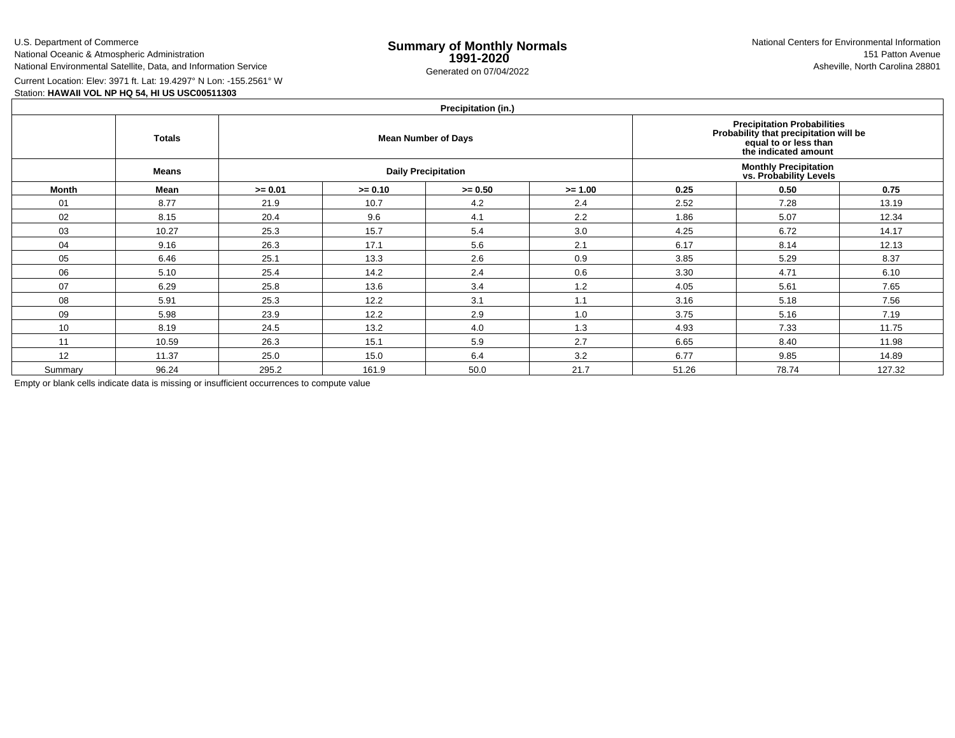U.S. Department of CommerceNational Oceanic & Atmospheric Administration

National Environmental Satellite, Data, and Information Service

e **Summary of Monthly Normals**<br> **1991-2020** 151 Patton Avenue **1991-2020** 1997-2020 Generated on 07/04/2022 Asheville, North Carolina 28801 National Centers for Environmental Information151 Patton Avenue

Current Location: Elev: 3971 ft. Lat: 19.4297° N Lon: -155.2561° W

Station: **HAWAII VOL NP HQ 54, HI US USC00511303**

## **Precipitation (in.)**

|              | <b>Totals</b> |           |           | $1.1$ GUPRANUH (III.)<br><b>Mean Number of Days</b> | Precipitation Probabilities<br>Probability that precipitation will be<br>equal to or less than<br>the indicated amount |       |                                                         |        |  |
|--------------|---------------|-----------|-----------|-----------------------------------------------------|------------------------------------------------------------------------------------------------------------------------|-------|---------------------------------------------------------|--------|--|
|              | <b>Means</b>  |           |           | <b>Daily Precipitation</b>                          |                                                                                                                        |       | <b>Monthly Precipitation<br/>vs. Probability Levels</b> |        |  |
| <b>Month</b> | Mean          | $>= 0.01$ | $>= 0.10$ | $>= 0.50$                                           | $>= 1.00$                                                                                                              | 0.25  | 0.50                                                    | 0.75   |  |
| 01           | 8.77          | 21.9      | 10.7      | 4.2                                                 | 2.4                                                                                                                    | 2.52  | 7.28                                                    | 13.19  |  |
| 02           | 8.15          | 20.4      | 9.6       | 4.1                                                 | 2.2                                                                                                                    | 1.86  | 5.07                                                    | 12.34  |  |
| 03           | 10.27         | 25.3      | 15.7      | 5.4                                                 | 3.0                                                                                                                    | 4.25  | 6.72                                                    | 14.17  |  |
| 04           | 9.16          | 26.3      | 17.1      | 5.6                                                 | 2.1                                                                                                                    | 6.17  | 8.14                                                    | 12.13  |  |
| 05           | 6.46          | 25.1      | 13.3      | 2.6                                                 | 0.9                                                                                                                    | 3.85  | 5.29                                                    | 8.37   |  |
| 06           | 5.10          | 25.4      | 14.2      | 2.4                                                 | 0.6                                                                                                                    | 3.30  | 4.71                                                    | 6.10   |  |
| 07           | 6.29          | 25.8      | 13.6      | 3.4                                                 | 1.2                                                                                                                    | 4.05  | 5.61                                                    | 7.65   |  |
| 08           | 5.91          | 25.3      | 12.2      | 3.1                                                 | 1.1                                                                                                                    | 3.16  | 5.18                                                    | 7.56   |  |
| 09           | 5.98          | 23.9      | 12.2      | 2.9                                                 | 1.0                                                                                                                    | 3.75  | 5.16                                                    | 7.19   |  |
| 10           | 8.19          | 24.5      | 13.2      | 4.0                                                 | 1.3                                                                                                                    | 4.93  | 7.33                                                    | 11.75  |  |
| 11           | 10.59         | 26.3      | 15.1      | 5.9                                                 | 2.7                                                                                                                    | 6.65  | 8.40                                                    | 11.98  |  |
| 12           | 11.37         | 25.0      | 15.0      | 6.4                                                 | 3.2                                                                                                                    | 6.77  | 9.85                                                    | 14.89  |  |
| Summary      | 96.24         | 295.2     | 161.9     | 50.0                                                | 21.7                                                                                                                   | 51.26 | 78.74                                                   | 127.32 |  |

Empty or blank cells indicate data is missing or insufficient occurrences to compute value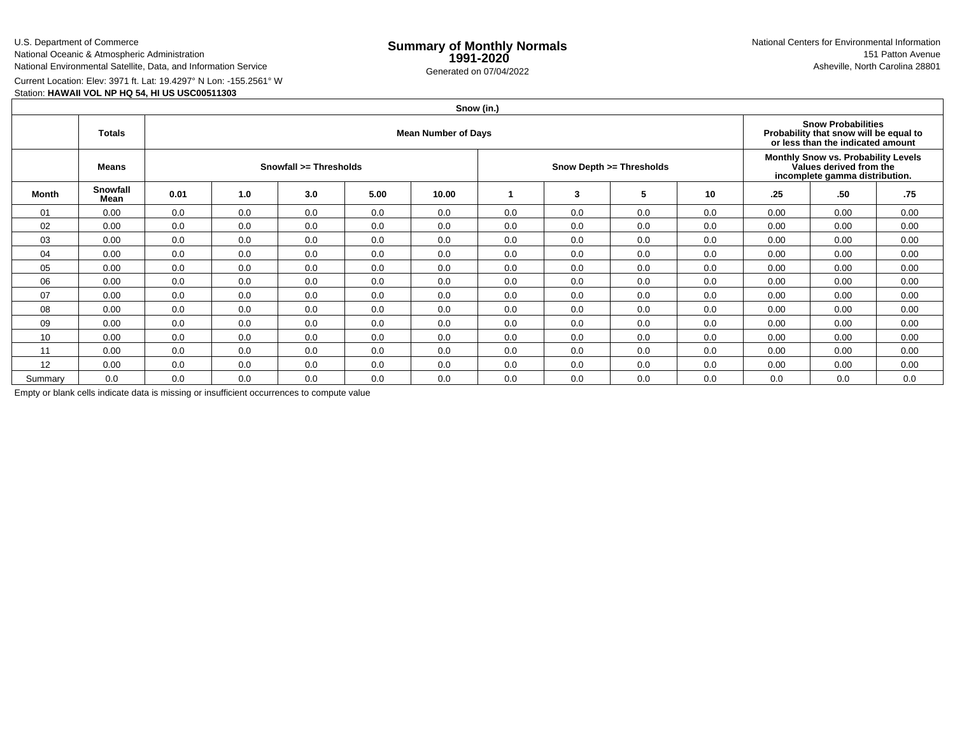U.S. Department of CommerceNational Oceanic & Atmospheric Administration

National Environmental Satellite, Data, and Information Service

e **Summary of Monthly Normals**<br> **1991-2020** 151 Patton Avenue **1991-2020** 1997-2020 Generated on 07/04/2022 Asheville, North Carolina 28801 National Centers for Environmental Information151 Patton Avenue

Current Location: Elev: 3971 ft. Lat: 19.4297° N Lon: -155.2561° W

Station: **HAWAII VOL NP HQ 54, HI US USC00511303**

|         | Snow (in.)       |      |     |                                                                                                          |                          |       |                                                                                                  |     |     |     |      |      |      |  |
|---------|------------------|------|-----|----------------------------------------------------------------------------------------------------------|--------------------------|-------|--------------------------------------------------------------------------------------------------|-----|-----|-----|------|------|------|--|
|         | <b>Totals</b>    |      |     | <b>Snow Probabilities</b><br>Probability that snow will be equal to<br>or less than the indicated amount |                          |       |                                                                                                  |     |     |     |      |      |      |  |
|         | <b>Means</b>     |      |     |                                                                                                          | Snow Depth >= Thresholds |       | Monthly Snow vs. Probability Levels<br>Values derived from the<br>incomplete gamma distribution. |     |     |     |      |      |      |  |
| Month   | Snowfall<br>Mean | 0.01 | 1.0 | 3.0                                                                                                      | 5.00                     | 10.00 |                                                                                                  | 3   | 5   | 10  | .25  | .50  | .75  |  |
| 01      | 0.00             | 0.0  | 0.0 | 0.0                                                                                                      | 0.0                      | 0.0   | 0.0                                                                                              | 0.0 | 0.0 | 0.0 | 0.00 | 0.00 | 0.00 |  |
| 02      | 0.00             | 0.0  | 0.0 | 0.0                                                                                                      | 0.0                      | 0.0   | 0.0                                                                                              | 0.0 | 0.0 | 0.0 | 0.00 | 0.00 | 0.00 |  |
| 03      | 0.00             | 0.0  | 0.0 | 0.0                                                                                                      | 0.0                      | 0.0   | 0.0                                                                                              | 0.0 | 0.0 | 0.0 | 0.00 | 0.00 | 0.00 |  |
| 04      | 0.00             | 0.0  | 0.0 | 0.0                                                                                                      | 0.0                      | 0.0   | 0.0                                                                                              | 0.0 | 0.0 | 0.0 | 0.00 | 0.00 | 0.00 |  |
| 05      | 0.00             | 0.0  | 0.0 | 0.0                                                                                                      | 0.0                      | 0.0   | 0.0                                                                                              | 0.0 | 0.0 | 0.0 | 0.00 | 0.00 | 0.00 |  |
| 06      | 0.00             | 0.0  | 0.0 | 0.0                                                                                                      | 0.0                      | 0.0   | 0.0                                                                                              | 0.0 | 0.0 | 0.0 | 0.00 | 0.00 | 0.00 |  |
| 07      | 0.00             | 0.0  | 0.0 | 0.0                                                                                                      | 0.0                      | 0.0   | 0.0                                                                                              | 0.0 | 0.0 | 0.0 | 0.00 | 0.00 | 0.00 |  |
| 08      | 0.00             | 0.0  | 0.0 | 0.0                                                                                                      | 0.0                      | 0.0   | 0.0                                                                                              | 0.0 | 0.0 | 0.0 | 0.00 | 0.00 | 0.00 |  |
| 09      | 0.00             | 0.0  | 0.0 | 0.0                                                                                                      | 0.0                      | 0.0   | 0.0                                                                                              | 0.0 | 0.0 | 0.0 | 0.00 | 0.00 | 0.00 |  |
| 10      | 0.00             | 0.0  | 0.0 | 0.0                                                                                                      | 0.0                      | 0.0   | 0.0                                                                                              | 0.0 | 0.0 | 0.0 | 0.00 | 0.00 | 0.00 |  |
| 11      | 0.00             | 0.0  | 0.0 | 0.0                                                                                                      | 0.0                      | 0.0   | 0.0                                                                                              | 0.0 | 0.0 | 0.0 | 0.00 | 0.00 | 0.00 |  |
| 12      | 0.00             | 0.0  | 0.0 | 0.0                                                                                                      | 0.0                      | 0.0   | 0.0                                                                                              | 0.0 | 0.0 | 0.0 | 0.00 | 0.00 | 0.00 |  |
| Summary | 0.0              | 0.0  | 0.0 | 0.0                                                                                                      | 0.0                      | 0.0   | 0.0                                                                                              | 0.0 | 0.0 | 0.0 | 0.0  | 0.0  | 0.0  |  |

Empty or blank cells indicate data is missing or insufficient occurrences to compute value